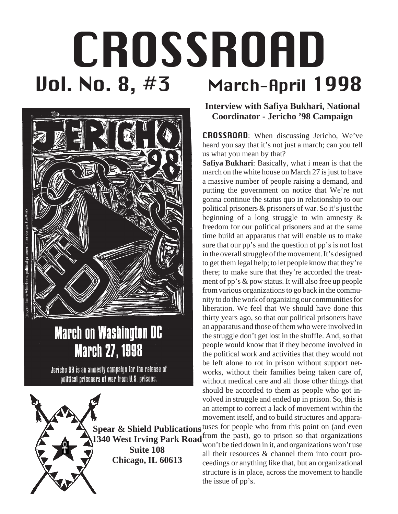# Uol. No. 8, #3 March-April 1998 CROSSROAD



# **March on Washington DC March 27, 1998**

Jericho 98 is an amnesty campaign for the release of political prisoners of war from U.S. prisons.

> **Spear & Shield Publications** tuses for people who from this point on (and even **1340 West Irving Park Road** from the past), go to prison so that organizations **1340** West Irving Park Road man't be tighted down in it, and approximations wen't weak

**Suite 108 Chicago, IL 60613** **Interview with Safiya Bukhari, National Coordinator - Jericho '98 Campaign**

CROSSROAD: When discussing Jericho, We've heard you say that it's not just a march; can you tell us what you mean by that?

**Safiya Bukhari**: Basically, what i mean is that the march on the white house on March 27 is just to have a massive number of people raising a demand, and putting the government on notice that We're not gonna continue the status quo in relationship to our political prisoners & prisoners of war. So it's just the beginning of a long struggle to win amnesty & freedom for our political prisoners and at the same time build an apparatus that will enable us to make sure that our pp's and the question of pp's is not lost in the overall struggle of the movement. It's designed to get them legal help; to let people know that they're there; to make sure that they're accorded the treatment of pp's & pow status. It will also free up people from various organizations to go back in the community to do the work of organizing our communities for liberation. We feel that We should have done this thirty years ago, so that our political prisoners have an apparatus and those of them who were involved in the struggle don't get lost in the shuffle. And, so that people would know that if they become involved in the political work and activities that they would not be left alone to rot in prison without support networks, without their families being taken care of, without medical care and all those other things that should be accorded to them as people who got involved in struggle and ended up in prison. So, this is an attempt to correct a lack of movement within the movement itself, and to build structures and appara-

won't be tied down in it, and organizations won't use all their resources & channel them into court proceedings or anything like that, but an organizational structure is in place, across the movement to handle the issue of pp's.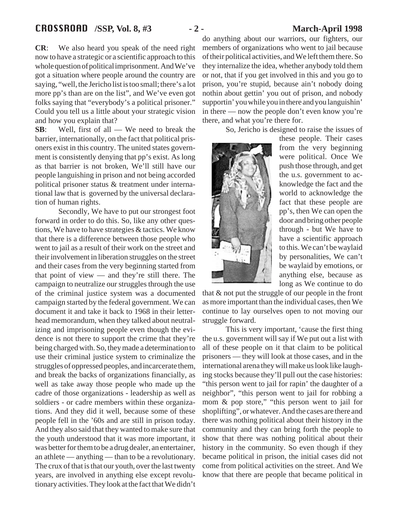**CR**: We also heard you speak of the need right now to have a strategic or a scientific approach to this whole question of political imprisonment. And We've got a situation where people around the country are saying, "well, the Jericho list is too small; there's a lot more pp's than are on the list", and We've even got folks saying that "everybody's a political prisoner." Could you tell us a little about your strategic vision and how you explain that?

**SB**: Well, first of all — We need to break the barrier, internationally, on the fact that political prisoners exist in this country. The united states government is consistently denying that pp's exist. As long as that barrier is not broken, We'll still have our people languishing in prison and not being accorded political prisoner status & treatment under international law that is governed by the universal declaration of human rights.

Secondly, We have to put our strongest foot forward in order to do this. So, like any other questions, We have to have strategies & tactics. We know that there is a difference between those people who went to jail as a result of their work on the street and their involvement in liberation struggles on the street and their cases from the very beginning started from that point of view — and they're still there. The campaign to neutralize our struggles through the use of the criminal justice system was a documented campaign started by the federal government. We can document it and take it back to 1968 in their letterhead memorandum, when they talked about neutralizing and imprisoning people even though the evidence is not there to support the crime that they're being charged with. So, they made a determination to use their criminal justice system to criminalize the struggles of oppressed peoples, and incarcerate them, and break the backs of organizations financially, as well as take away those people who made up the cadre of those organizations - leadership as well as soldiers - or cadre members within these organizations. And they did it well, because some of these people fell in the '60s and are still in prison today. And they also said that they wanted to make sure that the youth understood that it was more important, it was better for them to be a drug dealer, an entertainer, an athlete — anything — than to be a revolutionary. The crux of that is that our youth, over the last twenty years, are involved in anything else except revolutionary activities. They look at the fact that We didn't

do anything about our warriors, our fighters, our members of organizations who went to jail because of their political activities, and We left them there. So they internalize the idea, whether anybody told them or not, that if you get involved in this and you go to prison, you're stupid, because ain't nobody doing nothin about gettin' you out of prison, and nobody supportin' you while you in there and you languishin' in there — now the people don't even know you're there, and what you're there for.

So, Jericho is designed to raise the issues of



these people. Their cases from the very beginning were political. Once We push those through, and get the u.s. government to acknowledge the fact and the world to acknowledge the fact that these people are pp's, then We can open the door and bring other people through - but We have to have a scientific approach to this. We can't be waylaid by personalities, We can't be waylaid by emotions, or anything else, because as long as We continue to do

that & not put the struggle of our people in the front as more important than the individual cases, then We continue to lay ourselves open to not moving our struggle forward.

This is very important, 'cause the first thing the u.s. government will say if We put out a list with all of these people on it that claim to be political prisoners — they will look at those cases, and in the international arena they will make us look like laughing stocks because they'll pull out the case histories: "this person went to jail for rapin' the daughter of a neighbor", "this person went to jail for robbing a mom & pop store," "this person went to jail for shoplifting", or whatever. And the cases are there and there was nothing political about their history in the community and they can bring forth the people to show that there was nothing political about their history in the community. So even though if they became political in prison, the initial cases did not come from political activities on the street. And We know that there are people that became political in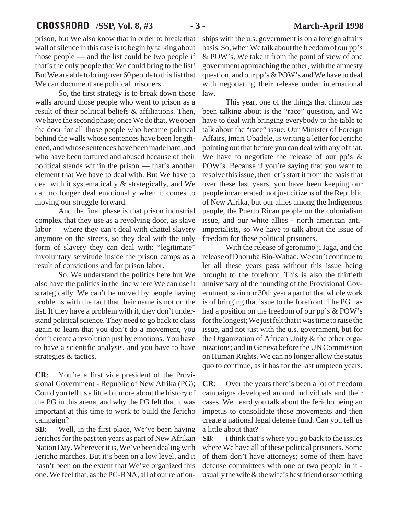# CROSSROAD **/SSP, Vol. 8, #3 - 3 - March-April 1998**

prison, but We also know that in order to break that wall of silence in this case is to begin by talking about those people — and the list could be two people if that's the only people that We could bring to the list! But We are able to bring over 60 people to this list that We can document are political prisoners.

So, the first strategy is to break down those walls around those people who went to prison as a result of their political beliefs & affiliations. Then, We have the second phase; once We do that, We open the door for all those people who became political behind the walls whose sentences have been lengthened, and whose sentences have been made hard, and who have been tortured and abused because of their political stands within the prison — that's another element that We have to deal with. But We have to deal with it systematically & strategically, and We can no longer deal emotionally when it comes to moving our struggle forward.

And the final phase is that prison industrial complex that they use as a revolving door, as slave labor — where they can't deal with chattel slavery anymore on the streets, so they deal with the only form of slavery they can deal with: "legitimate" involuntary servitude inside the prison camps as a result of convictions and for prison labor.

So, We understand the politics here but We also have the politics in the line where We can use it strategically. We can't be moved by people having problems with the fact that their name is not on the list. If they have a problem with it, they don't understand political science. They need to go back to class again to learn that you don't do a movement, you don't create a revolution just by emotions. You have to have a scientific analysis, and you have to have strategies & tactics.

**CR**: You're a first vice president of the Provisional Government - Republic of New Afrika (PG); Could you tell us a little bit more about the history of the PG in this arena, and why the PG felt that it was important at this time to work to build the Jericho campaign?

**SB**: Well, in the first place, We've been having Jerichos for the past ten years as part of New Afrikan Nation Day. Wherever it is, We've been dealing with Jericho marches. But it's been on a low level, and it hasn't been on the extent that We've organized this one. We feel that, as the PG-RNA, all of our relationships with the u.s. government is on a foreign affairs basis. So, when We talk about the freedom of our pp's & POW's, We take it from the point of view of one government approaching the other, with the amnesty question, and our pp's & POW's and We have to deal with negotiating their release under international law.

This year, one of the things that clinton has been talking about is the "race" question, and We have to deal with bringing everybody to the table to talk about the "race" issue. Our Minister of Foreign Affairs, Imari Obadele, is writing a letter for Jericho pointing out that before you can deal with any of that, We have to negotiate the release of our pp's & POW's. Because if you're saying that you want to resolve this issue, then let's start it from the basis that over these last years, you have been keeping our people incarcerated; not just citizens of the Republic of New Afrika, but our allies among the Indigenous people, the Puerto Rican people on the colonialism issue, and our white allies - north american antiimperialists, so We have to talk about the issue of freedom for these political prisoners.

With the release of geronimo ji Jaga, and the release of Dhoruba Bin-Wahad, We can't continue to let all these years pass without this issue being brought to the forefront. This is also the thirtieth anniversary of the founding of the Provisional Government, so in our 30th year a part of that whole work is of bringing that issue to the forefront. The PG has had a position on the freedom of our pp's & POW's for the longest; We just felt that it was time to raise the issue, and not just with the u.s. government, but for the Organization of African Unity & the other organizations; and in Geneva before the UN Commission on Human Rights. We can no longer allow the status quo to continue, as it has for the last umpteen years.

**CR**: Over the years there's been a lot of freedom campaigns developed around individuals and their cases. We heard you talk about the Jericho being an impetus to consolidate these movements and then create a national legal defense fund. Can you tell us a little about that?

**SB:** i think that's where you go back to the issues where We have all of these political prisoners. Some of them don't have attorneys; some of them have defense committees with one or two people in it usually the wife & the wife's best friend or something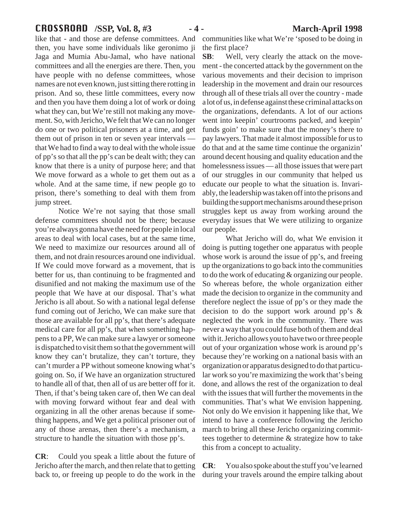# CROSSROAD **/SSP, Vol. 8, #3 - 4 - March-April 1998**

like that - and those are defense committees. And then, you have some individuals like geronimo ji Jaga and Mumia Abu-Jamal, who have national committees and all the energies are there. Then, you have people with no defense committees, whose names are not even known, just sitting there rotting in prison. And so, these little committees, every now and then you have them doing a lot of work or doing what they can, but We're still not making any movement. So, with Jericho, We felt that We can no longer do one or two political prisoners at a time, and get them out of prison in ten or seven year intervals that We had to find a way to deal with the whole issue of pp's so that all the pp's can be dealt with; they can know that there is a unity of purpose here; and that We move forward as a whole to get them out as a whole. And at the same time, if new people go to prison, there's something to deal with them from jump street.

Notice We're not saying that those small defense committees should not be there; because you're always gonna have the need for people in local areas to deal with local cases, but at the same time, We need to maximize our resources around all of them, and not drain resources around one individual. If We could move forward as a movement, that is better for us, than continuing to be fragmented and disunified and not making the maximum use of the people that We have at our disposal. That's what Jericho is all about. So with a national legal defense fund coming out of Jericho, We can make sure that those are available for all pp's, that there's adequate medical care for all pp's, that when something happens to a PP, We can make sure a lawyer or someone is dispatched to visit them so that the government will know they can't brutalize, they can't torture, they can't murder a PP without someone knowing what's going on. So, if We have an organization structured to handle all of that, then all of us are better off for it. Then, if that's being taken care of, then We can deal with moving forward without fear and deal with organizing in all the other arenas because if something happens, and We get a political prisoner out of any of those arenas, then there's a mechanism, a structure to handle the situation with those pp's.

**CR**: Could you speak a little about the future of Jericho after the march, and then relate that to getting back to, or freeing up people to do the work in the communities like what We're 'sposed to be doing in the first place?

**SB**: Well, very clearly the attack on the movement - the concerted attack by the government on the various movements and their decision to imprison leadership in the movement and drain our resources through all of these trials all over the country - made a lot of us, in defense against these criminal attacks on the organizations, defendants. A lot of our actions went into keepin' courtrooms packed, and keepin' funds goin' to make sure that the money's there to pay lawyers. That made it almost impossible for us to do that and at the same time continue the organizin' around decent housing and quality education and the homelessness issues — all those issues that were part of our struggles in our community that helped us educate our people to what the situation is. Invariably, the leadership was taken off into the prisons and building the support mechanisms around these prison struggles kept us away from working around the everyday issues that We were utilizing to organize our people.

What Jericho will do, what We envision it doing is putting together one apparatus with people whose work is around the issue of pp's, and freeing up the organizations to go back into the communities to do the work of educating & organizing our people. So whereas before, the whole organization either made the decision to organize in the community and therefore neglect the issue of pp's or they made the decision to do the support work around pp's & neglected the work in the community. There was never a way that you could fuse both of them and deal with it. Jericho allows you to have two or three people out of your organization whose work is around pp's because they're working on a national basis with an organization or apparatus designed to do that particular work so you're maximizing the work that's being done, and allows the rest of the organization to deal with the issues that will further the movements in the communities. That's what We envision happening. Not only do We envision it happening like that, We intend to have a conference following the Jericho march to bring all these Jericho organizing committees together to determine & strategize how to take this from a concept to actuality.

**CR**: You also spoke about the stuff you've learned during your travels around the empire talking about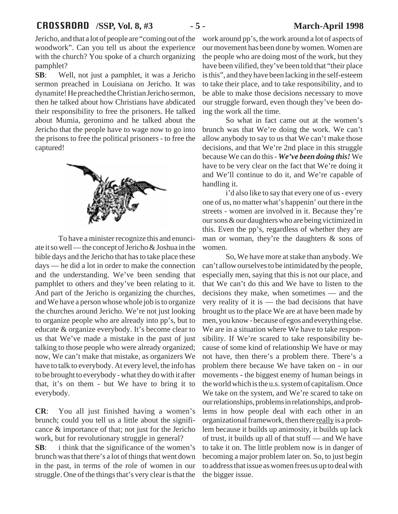# CROSSROAD **/SSP, Vol. 8, #3 - 5 - March-April 1998**

Jericho, and that a lot of people are "coming out of the woodwork". Can you tell us about the experience with the church? You spoke of a church organizing pamphlet?

**SB**: Well, not just a pamphlet, it was a Jericho sermon preached in Louisiana on Jericho. It was dynamite! He preached the Christian Jericho sermon, then he talked about how Christians have abdicated their responsibility to free the prisoners. He talked about Mumia, geronimo and he talked about the Jericho that the people have to wage now to go into the prisons to free the political prisoners - to free the captured!



To have a minister recognize this and enunciate it so well — the concept of Jericho & Joshua in the bible days and the Jericho that has to take place these days — he did a lot in order to make the connection and the understanding. We've been sending that pamphlet to others and they've been relating to it. And part of the Jericho is organizing the churches, and We have a person whose whole job is to organize the churches around Jericho. We're not just looking to organize people who are already into pp's, but to educate & organize everybody. It's become clear to us that We've made a mistake in the past of just talking to those people who were already organized; now, We can't make that mistake, as organizers We have to talk to everybody. At every level, the info has to be brought to everybody - what they do with it after that, it's on them - but We have to bring it to everybody.

**CR**: You all just finished having a women's brunch; could you tell us a little about the significance & importance of that; not just for the Jericho work, but for revolutionary struggle in general?

**SB:** i think that the significance of the women's brunch was that there's a lot of things that went down in the past, in terms of the role of women in our struggle. One of the things that's very clear is that the work around pp's, the work around a lot of aspects of our movement has been done by women. Women are the people who are doing most of the work, but they have been vilified, they've been told that "their place is this", and they have been lacking in the self-esteem to take their place, and to take responsibility, and to be able to make those decisions necessary to move our struggle forward, even though they've been doing the work all the time.

So what in fact came out at the women's brunch was that We're doing the work. We can't allow anybody to say to us that We can't make those decisions, and that We're 2nd place in this struggle because We can do this - *We've been doing this!* We have to be very clear on the fact that We're doing it and We'll continue to do it, and We're capable of handling it.

i'd also like to say that every one of us - every one of us, no matter what's happenin' out there in the streets - women are involved in it. Because they're our sons & our daughters who are being victimized in this. Even the pp's, regardless of whether they are man or woman, they're the daughters  $\&$  sons of women.

So, We have more at stake than anybody. We can't allow ourselves to be intimidated by the people, especially men, saying that this is not our place, and that We can't do this and We have to listen to the decisions they make, when sometimes — and the very reality of it is — the bad decisions that have brought us to the place We are at have been made by men, you know - because of egos and everything else. We are in a situation where We have to take responsibility. If We're scared to take responsibility because of some kind of relationship We have or may not have, then there's a problem there. There's a problem there because We have taken on - in our movements - the biggest enemy of human beings in the world which is the u.s. system of capitalism. Once We take on the system, and We're scared to take on our relationships, problems in relationships, and problems in how people deal with each other in an organizational framework, then there really is a problem because it builds up animosity, it builds up lack of trust, it builds up all of that stuff — and We have to take it on. The little problem now is in danger of becoming a major problem later on. So, to just begin to address that issue as women frees us up to deal with the bigger issue.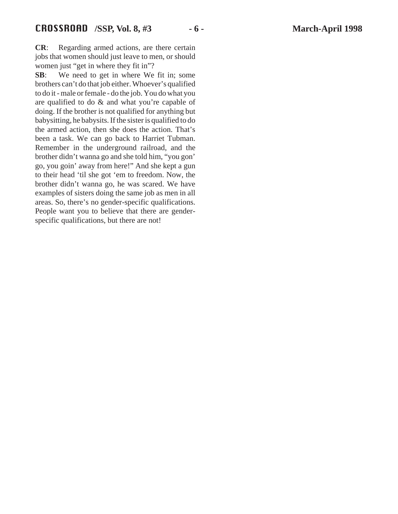**CR**: Regarding armed actions, are there certain jobs that women should just leave to men, or should women just "get in where they fit in"?

**SB**: We need to get in where We fit in; some brothers can't do that job either. Whoever's qualified to do it - male or female - do the job. You do what you are qualified to do & and what you're capable of doing. If the brother is not qualified for anything but babysitting, he babysits. If the sister is qualified to do the armed action, then she does the action. That's been a task. We can go back to Harriet Tubman. Remember in the underground railroad, and the brother didn't wanna go and she told him, "you gon' go, you goin' away from here!" And she kept a gun to their head 'til she got 'em to freedom. Now, the brother didn't wanna go, he was scared. We have examples of sisters doing the same job as men in all areas. So, there's no gender-specific qualifications. People want you to believe that there are genderspecific qualifications, but there are not!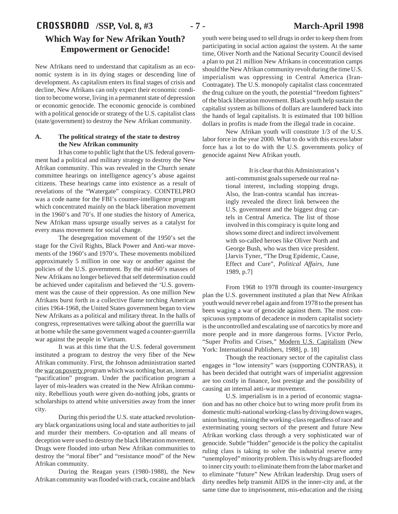# CROSSROAD **/SSP, Vol. 8, #3 - 7 - March-April 1998 Which Way for New Afrikan Youth? Empowerment or Genocide!**

New Afrikans need to understand that capitalism as an economic system is in its dying stages or descending line of development. As capitalism enters its final stages of crisis and decline, New Afrikans can only expect their economic condition to become worse, living in a permanent state of depression or economic genocide. The economic genocide is combined with a political genocide or strategy of the U.S. capitalist class (state/government) to destroy the New Afrikan community.

# **A. The political strategy of the state to destroy the New Afrikan community**

It has come to public light that the US. federal government had a political and military strategy to destroy the New Afrikan community. This was revealed in the Church senate committee hearings on intelligence agency's abuse against citizens. These hearings came into existence as a result of revelations of the "Watergate" conspiracy. COINTELPRO was a code name for the FBI's counter-intelligence program which concentrated mainly on the black liberation movement in the 1960's and 70's. If one studies the history of America, New Afrikan mass upsurge usually serves as a catalyst for every mass movement for social change.

The desegregation movement of the 1950's set the stage for the Civil Rights, Black Power and Anti-war movements of the 1960's and 1970's. These movements mobilized approximately 5 million in one way or another against the policies of the U.S. government. By the mid-60's masses of New Afrikans no longer believed that self determination could be achieved under capitalism and believed the 'U.S. government was the cause of their oppression. As one million New Afrikans burst forth in a collective flame torching American cities 1964-1968, the United States government began to view New Afrikans as a political and military threat. In the halls of congress, representatives were talking about the guerrilla war at home while the same government waged a counter-guerrilla war against the people in Vietnam.

It was at this time that the U.S. federal government instituted a program to destroy the very fiber of the New Afrikan community. First, the Johnson administration started the war on poverty program which was nothing but an, internal "pacification" program. Under the pacification program a layer of mis-leaders was created in the New Afrikan community. Rebellious youth were given do-nothing jobs, grants or scholarships to attend white universities away from the inner city.

During this period the U.S. state attacked revolutionary black organizations using local and state authorities to jail and murder their members. Co-optation and all means of deception were used to destroy the black liberation movement. Drugs were flooded into urban New Afrikan communities to destroy the "moral fiber" and "resistance mood" of the New Afrikan community.

During the Reagan years (1980-1988), the New Afrikan community was flooded with crack, cocaine and black

youth were being used to sell drugs in order to keep them from participating in social action against the system. At the same time, Oliver North and the National Security Council devised a plan to put 21 million New Afrikans in concentration camps should the New Afrikan community revolt during the time U.S. imperialism was oppressing in Central America (Iran-Contragate). The U.S. monopoly capitalist class concentrated the drug culture on the youth, the potential "freedom fighters" of the black liberation movement. Black youth help sustain the capitalist system as billions of dollars are laundered back into the hands of legal capitalists. It is estimated that 100 billion dollars in profits is made from the illegal trade in cocaine.

New Afrikan youth will constitute 1/3 of the U.S. labor force in the year 2000. What to do with this excess labor force has a lot to do with the U.S. governments policy of genocide against New Afrikan youth.

> It is clear that this Administration's anti-communist goals supersede our real national interest, including stopping drugs. Also, the Iran-contra scandal has increasingly revealed the direct link between the U.S. government and the biggest drug cartels in Central America. The list of those involved in this conspiracy is quite long and shows some direct and indirect involvement with so-called heroes like Oliver North and George Bush, who was then vice president. [Jarvis Tyner, "The Drug Epidemic, Cause, Effect and Cure", *Political Affairs,* June 1989, p.7]

From 1968 to 1978 through its counter-insurgency plan the U.S. government instituted a plan that New Afrikan youth would never rebel again and from 1978 to the present has been waging a war of genocide against them. The most conspicuous symptoms of decadence in modern capitalist society is the uncontrolled and escalating use of narcotics by more and more people and in more dangerous forms. [Victor Perlo, "Super Profits and Crises," Modern U.S. Capitalism (New York: International Publishers, 1988], p. 18]

Though the reactionary sector of the capitalist class engages in "low intensity" wars (supporting CONTRAS), it has been decided that outright wars of imperialist aggression are too costly in finance, lost prestige and the possibility of causing an internal anti-war movement.

U.S. imperialism is in a period of economic stagnation and has no other choice but to wring more profit from its domestic multi-national working-class by driving down wages, union busting, ruining the working-class regardless of race and exterminating young sectors of the present and future New Afrikan working class through a very sophisticated war of genocide. Subtle "hidden" genocide is the policy the capitalist ruling class is taking to solve the industrial reserve army "unemployed" minority problem. This is why drugs are flooded to inner city youth: to eliminate them from the labor market and to eliminate "future" New Afrikan leadership. Drug users of dirty needles help transmit AIDS in the inner-city and, at the same time due to imprisonment, mis-education and the rising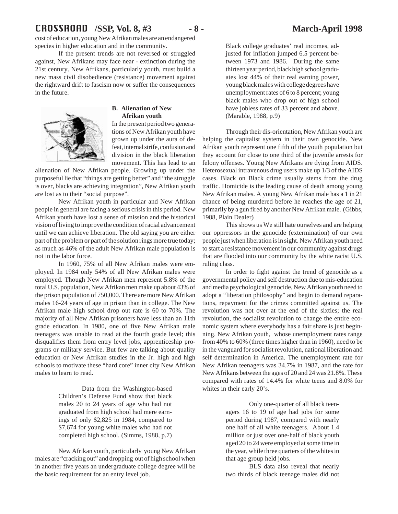cost of education, young New Afrikan males are an endangered species in higher education and in the community.

If the present trends are not reversed or struggled against, New Afrikans may face near - extinction during the 21st century. New Afrikans, particularly youth, must build a new mass civil disobedience (resistance) movement against the rightward drift to fascism now or suffer the consequences in the future.



### **B. Alienation of New Afrikan youth**

In the present period two generations of New Afrikan youth have grown up under the aura of defeat, internal strife, confusion and division in the black liberation movement. This has lead to an

alienation of New Afrikan people. Growing up under the purposeful lie that "things are getting better" and "the struggle is over, blacks are achieving integration", New Afrikan youth are lost as to their "social purpose".

New Afrikan youth in particular and New Afrikan people in general are facing a serious crisis in this period. New Afrikan youth have lost a sense of mission and the historical vision of living to improve the condition of racial advancement until we can achieve liberation. The old saying you are either part of the problem or part of the solution rings more true today; as much as 46% of the adult New Afrikan male population is not in the labor force.

In 1960, 75% of all New Afrikan males were employed. In 1984 only 54% of all New Afrikan males were employed. Though New Afrikan men represent 5.8% of the total U.S. population, New Afrikan men make up about 43% of the prison population of 750,000. There are more New Afrikan males 16-24 years of age in prison than in college. The New Afrikan male high school drop out rate is 60 to 70%. The majority of all New Afrikan prisoners have less than an 11th grade education. In 1980, one of five New Afrikan male teenagers was unable to read at the fourth grade level; this disqualifies them from entry level jobs, apprenticeship programs or military service. But few are talking about quality education or New Afrikan studies in the Jr. high and high schools to motivate these "hard core" inner city New Afrikan males to learn to read.

> Data from the Washington-based Children's Defense Fund show that black males 20 to 24 years of age who had not graduated from high school had mere earnings of only \$2,825 in 1984, compared to \$7,674 for young white males who had not completed high school. (Simms, 1988, p.7)

New Afrikan youth, particularly young New Afrikan males are "cracking out" and dropping out of high school when in another five years an undergraduate college degree will be the basic requirement for an entry level job.

Black college graduates' real incomes, adjusted for inflation jumped 6.5 percent between 1973 and 1986. During the same thirteen year period, black high school graduates lost 44% of their real earning power, young black males with college degrees have unemployment rates of 6 to 8 percent; young black males who drop out of high school have jobless rates of 33 percent and above. (Marable, 1988, p.9)

Through their dis-orientation, New Afrikan youth are helping the capitalist system in their own genocide. New Afrikan youth represent one fifth of the youth population but they account for close to one third of the juvenile arrests for felony offenses. Young New Afrikans are dying from AIDS. Heterosexual intravenous drug users make up 1/3 of the AIDS cases. Black on Black crime usually stems from the drug traffic. Homicide is the leading cause of death among young New Afrikan males. A young New Afrikan male has a 1 in 21 chance of being murdered before he reaches the age of 21, primarily by a gun fired by another New Afrikan male. (Gibbs, 1988, Plain Dealer)

This shows us We still hate ourselves and are helping our oppressors in the genocide (extermination) of our own people just when liberation is in sight. New Afrikan youth need to start a resistance movement in our community against drugs that are flooded into our community by the white racist U.S. ruling class.

In order to fight against the trend of genocide as a governmental policy and self destruction due to mis-education and media psychological genocide, New Afrikan youth need to adopt a "liberation philosophy" and begin to demand reparations, repayment for the crimes committed against us. The revolution was not over at the end of the sixties; the real revolution, the socialist revolution to change the entire economic system where everybody has a fair share is just beginning. New Afrikan youth, whose unemployment rates range from 40% to 60% (three times higher than in 1960), need to be in the vanguard for socialist revolution, national liberation and self determination in America. The unemployment rate for New Afrikan teenagers was 34.7% in 1987, and the rate for New Afrikans between the ages of 20 and 24 was 21.8%. These compared with rates of 14.4% for white teens and 8.0% for whites in their early 20's.

> Only one-quarter of all black teenagers 16 to 19 of age had jobs for some period during 1987, compared with nearly one half of all white teenagers. About 1.4 million or just over one-half of black youth aged 20 to 24 were employed at some time in the year, while three quarters of the whites in that age group held jobs.

> BLS data also reveal that nearly two thirds of black teenage males did not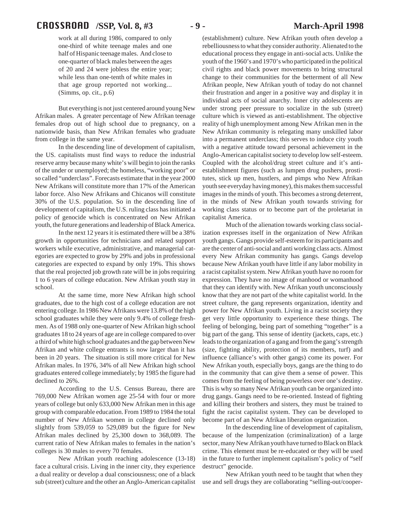# CROSSROAD **/SSP, Vol. 8, #3 - 9 - March-April 1998**

work at all during 1986, compared to only one-third of white teenage males and one half of Hispanic teenage males. And close to one-quarter of black males between the ages of 20 and 24 were jobless the entire year; while less than one-tenth of white males in that age group reported not working... (Simms, op. cit., p.6)

But everything is not just centered around young New Afrikan males. A greater percentage of New Afrikan teenage females drop out of high school due to pregnancy, on a nationwide basis, than New Afrikan females who graduate from college in the same year.

In the descending line of development of capitalism, the US. capitalists must find ways to reduce the industrial reserve army because many white's will begin to join the ranks of the under or unemployed; the homeless, "working poor" or so called "underclass". Forecasts estimate that in the year 2000 New Afrikans will constitute more than 17% of the American labor force. Also New Afrikans and Chicanos will constitute 30% of the U.S. population. So in the descending line of development of capitalism, the U.S. ruling class has initiated a policy of genocide which is concentrated on New Afrikan youth, the future generations and leadership of Black America.

In the next 12 years it is estimated there will be a 38% growth in opportunities for technicians and related support workers while executive, administrative, and managerial categories are expected to grow by 29% and jobs in professional categories are expected to expand by only 19%. This shows that the real projected job growth rate will be in jobs requiring 1 to 6 years of college education. New Afrikan youth stay in school.

At the same time, more New Afrikan high school graduates, due to the high cost of a college education are not entering college. In 1986 New Afrikans were 13.8% of the high school graduates while they were only 9.4% of college freshmen. As of 1988 only one-quarter of New Afrikan high school graduates 18 to 24 years of age are in college compared to over a third of white high school graduates and the gap between New Afrikan and white college entrants is now larger than it has been in 20 years. The situation is still more critical for New Afrikan males. In 1976, 34% of all New Afrikan high school graduates entered college immediately; by 1985 the figure had declined to 26%.

According to the U.S. Census Bureau, there are 769,000 New Afrikan women age 25-54 with four or more years of college but only 633,000 New Afrikan men in this age group with comparable education. From 1989 to 1984 the total number of New Afrikan women in college declined only slightly from 539,059 to 529,089 but the figure for New Afrikan males declined by 25,300 down to 368,089. The current ratio of New Afrikan males to females in the nation's colleges is 30 males to every 70 females.

New Afrikan youth reaching adolescence (13-18) face a cultural crisis. Living in the inner city, they experience a dual reality or develop a dual consciousness; one of a black sub (street) culture and the other an Anglo-American capitalist

(establishment) culture. New Afrikan youth often develop a rebelliousness to what they consider authority. Alienated to the educational process they engage in anti-social acts. Unlike the youth of the 1960's and 1970's who participated in the political civil rights and black power movements to bring structural change to their communities for the betterment of all New Afrikan people, New Afrikan youth of today do not channel their frustration and anger in a positive way and display it in individual acts of social anarchy. Inner city adolescents are under strong peer pressure to socialize in the sub (street) culture which is viewed as anti-establishment. The objective reality of high unemployment among New Afrikan men in the New Afrikan community is relegating many unskilled labor into a permanent underclass; this serves to induce city youth with a negative attitude toward personal achievement in the Anglo-American capitalist society to develop low self-esteem. Coupled with the alcohol/drug street culture and it's antiestablishment figures (such as lumpen drug pushers, prostitutes, stick up men, hustlers, and pimps who New Afrikan youth see everyday having money), this makes them successful images in the minds of youth. This becomes a strong deterrent, in the minds of New Afrikan youth towards striving for working class status or to become part of the proletariat in capitalist America.

Much of the alienation towards working class socialization expresses itself in the organization of New Afrikan youth gangs. Gangs provide self-esteem for its participants and are the center of anti-social and anti working class acts. Almost every New Afrikan community has gangs. Gangs develop because New Afrikan youth have little if any labor mobility in a racist capitalist system. New Afrikan youth have no room for expression. They have no image of manhood or womanhood that they can identify with. New Afrikan youth unconsciously know that they are not part of the white capitalist world. In the street culture, the gang represents organization, identity and power for New Afrikan youth. Living in a racist society they get very little opportunity to experience these things. The feeling of belonging, being part of something "together" is a big part of the gang. This sense of identity (jackets, caps, etc.) leads to the organization of a gang and from the gang's strength (size, fighting ability, protection of its members, turf) and influence (alliance's with other gangs) come its power. For New Afrikan youth, especially boys, gangs are the thing to do in the community that can give them a sense of power. This comes from the feeling of being powerless over one's destiny. This is why so many New Afrikan youth can be organized into drug gangs. Gangs need to be re-oriented. Instead of fighting and killing their brothers and sisters, they must be trained to fight the racist capitalist system. They can be developed to become part of an New Afrikan liberation organization.

In the descending line of development of capitalism, because of the lumpenization (criminalization) of a large sector, many New Afrikan youth have turned to Black on Black crime. This element must be re-educated or they will be used in the future to further implement capitalism's policy of "self destruct" genocide.

New Afrikan youth need to be taught that when they use and sell drugs they are collaborating "selling-out/cooper-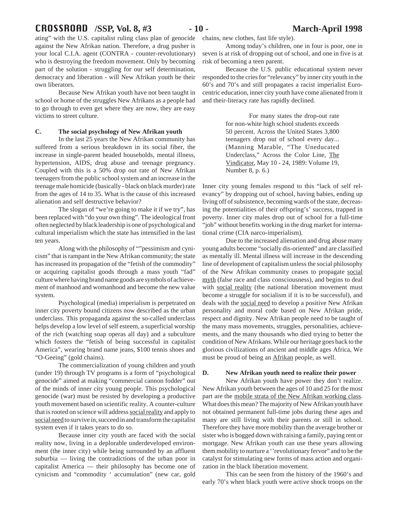# CROSSROAD **/SSP, Vol. 8, #3 - 10 - March-April 1998**

ating" with the U.S. capitalist ruling class plan of genocide against the New Afrikan nation. Therefore, a drug pusher is your local C.I.A. agent (CONTRA - counter-revolutionary) who is destroying the freedom movement. Only by becoming part of the solution - struggling for our self determination, democracy and liberation - will New Afrikan youth be their own liberators.

Because New Afrikan youth have not been taught in school or home of the struggles New Afrikans as a people had to go through to even get where they are now, they are easy victims to street culture.

#### **C. The social psychology of New Afrikan youth**

In the last 25 years the New Afrikan community has suffered from a serious breakdown in its social fiber, the increase in single-parent headed households, mental illness, hypertension, AIDS, drug abuse and teenage pregnancy. Coupled with this is a 50% drop out rate of New Afrikan teenagers from the public school system and an increase in the teenage male homicide (basically - black on black murder) rate from the ages of 14 to 35. What is the cause of this increased alienation and self destructive behavior?

The slogan of "we're going to make it if we try", has been replaced with "do your own thing". The ideological front often neglected by black leadership is one of psychological and cultural imperialism which the state has intensified in the last ten years.

Along with the philosophy of ""pessimism and cynicism" that is rampant in the New Afrikan community; the state has increased its propagation of the "fetish of the commodity" or acquiring capitalist goods through a mass youth "fad" culture where having brand name goods are symbols of achievement of manhood and womanhood and become the new value system.

Psychological (media) imperialism is perpetrated on inner city poverty bound citizens now described as the urban underclass. This propaganda against the so-called underclass helps develop a low level of self esteem, a superficial worship of the rich (watching soap operas all day) and a subculture which fosters the "fetish of being successful in capitalist America", wearing brand name jeans, \$100 tennis shoes and "O-Geeing" (gold chains).

The commercialization of young children and youth (under 19) through TV programs is a form of "psychological genocide" aimed at making "commercial cannon fodder" out of the minds of inner city young people. This psychological genocide (war) must be resisted by developing a productive youth movement based on scientific reality. A counter-culture that is rooted on science will address social reality and apply to social need to survive in, succeed in and transform the capitalist system even if it takes years to do so.

Because inner city youth are faced with the social reality now, living in a deplorable underdeveloped environment (the inner city) while being surrounded by an affluent suburbia — living the contradictions of the urban poor in capitalist America — their philosophy has become one of cynicism and "commodity ' accumulation" (new car, gold

chains, new clothes, fast life style).

Among today's children, one in four is poor, one in seven is at risk of dropping out of school, and one in five is at risk of becoming a teen parent.

Because the U.S. public educational system never responded to the cries for "relevancy" by inner city youth in the 60's and 70's and still propagates a racist imperialist Eurocentric education, inner city youth have come alienated from it and their-literacy rate has rapidly declined.

> For many states the drop-out rate for non-white high school students exceeds 50 percent. Across the United States 3,800 teenagers drop out of school every day... (Manning Marable, "The Uneducated Underclass," Across the Color Line, The Vindicator, May 10 - 24, 1989: Volume 19, Number 8, p. 6.)

Inner city young females respond to this "lack of self relevancy" by dropping out of school, having babies, ending up living off of subsistence, becoming wards of the state, decreasing the potentialities of their offspring's' success, trapped in poverty. Inner city males drop out of school for a full-time "job" without benefits working in the drug market for international crime (CIA narco-imperialism).

Due to the increased alienation and drug abuse many young adults become "socially dis-oriented" and are classified as mentally ill. Mental illness will increase in the descending line of development of capitalism unless the social philosophy of the New Afrikan community ceases to propagate social myth (false race and class consciousness), and begins to deal with social reality (the national liberation movement must become a struggle for socialism if it is to be successful), and deals with the social need to develop a positive New Afrikan personality and moral code based on New Afrikan pride, respect and dignity. New Afrikan people need to be taught of the many mass movements, struggles, personalities, achievements, and the many thousands who died trying to better the condition of New Afrikans. While our heritage goes back to the glorious civilizations of ancient and middle ages Africa, We must be proud of being an Afrikan people, as well.

#### **D. New Afrikan youth need to realize their power**

New Afrikan youth have power they don't realize. New Afrikan youth between the ages of 10 and 25 for the most part are the mobile strata of the New Afrikan working class. What does this mean? The majority of New Afrikan youth have not obtained permanent full-time jobs during these ages and many are still living with their parents or still in school. Therefore they have more mobility than the average brother or sister who is bogged down with raising a family, paying rent or mortgage. New Afrikan youth can use these years allowing them mobility to nurture a ''revolutionary fervor" and to be the catalyst for stimulating new forms of mass action and organization in the black liberation movement.

This can be seen from the history of the 1960's and early 70's when black youth were active shock troops on the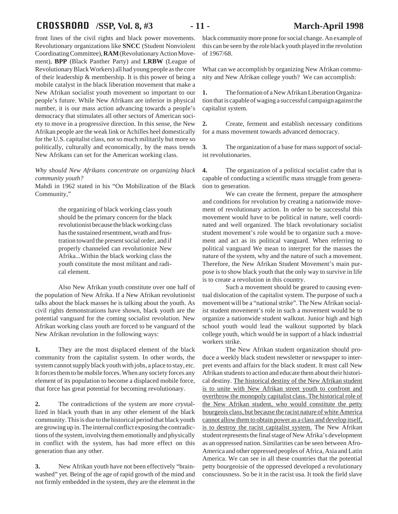# CROSSROAD **/SSP, Vol. 8, #3 - 11 - March-April 1998**

front lines of the civil rights and black power movements. Revolutionary organizations like **SNCC** (Student Nonviolent Coordinating Committee), **RAM** (Revolutionary Action Movement), **BPP** (Black Panther Party) and **LRBW** (League of Revolutionary Black Workers) all had young people as the core of their leadership & membership. It is this power of being a mobile catalyst in the black liberation movement that make a New Afrikan socialist youth movement so important to our people's future. While New Afrikans are inferior in physical number, it is our mass action advancing towards a people's democracy that stimulates all other sectors of American society to move in a progressive direction. In this sense, the New Afrikan people are the weak link or Achilles heel domestically for the U.S. capitalist class, not so much militarily but more so politically, culturally and economically, by the mass trends New Afrikans can set for the American working class.

### *Why should New Afrikans concentrate on organizing black community youth?*

Mahdi in 1962 stated in his "On Mobilization of the Black Community,"

> the organizing of black working class youth should be the primary concern for the black revolutionist because the black working class has the sustained resentment, wrath and frustration toward the present social order, and if properly channeled can revolutionize New Afrika...Within the black working class the youth constitute the most militant and radical element.

Also New Afrikan youth constitute over one half of the population of New Afrika. If a New Afrikan revolutionist talks about the black masses he is talking about the youth. As civil rights demonstrations have shown, black youth are the potential vanguard for the coming socialist revolution. New Afrikan working class youth are forced to be vanguard of the New Afrikan revolution in the following ways:

**1.** They are the most displaced element of the black community from the capitalist system. In other words, the system cannot supply black youth with jobs, a place to stay, etc. It forces them to be mobile forces. When any society forces any element of its population to become a displaced mobile force, that force has great potential for becoming revolutionary.

**2.** The contradictions of the system are more crystallized in black youth than in any other element of the black community. This is due to the historical period that black youth are growing up in. The internal conflict exposing the contradictions of the system, involving them emotionally and physically in conflict with the system, has had more effect on this generation than any other.

**3.** New Afrikan youth have not been effectively "brainwashed" yet. Being of the age of rapid growth of the mind and not firmly embedded in the system, they are the element in the black community more prone for social change. An example of this can be seen by the role black youth played in the revolution of 1967/68.

What can we accomplish by organizing New Afrikan community and New Afrikan college youth? We can accomplish:

**1.** The formation of a New Afrikan Liberation Organization that is capable of waging a successful campaign against the capitalist system.

**2.** Create, ferment and establish necessary conditions for a mass movement towards advanced democracy.

**3.** The organization of a base for mass support of socialist revolutionaries.

**4.** The organization of a political socialist cadre that is capable of conducting a scientific mass struggle from generation to generation.

We can create the ferment, prepare the atmosphere and conditions for revolution by creating a nationwide movement of revolutionary action. In order to be successful this movement would have to be political in nature, well coordinated and well organized. The black revolutionary socialist student movement's role would be to organize such a movement and act as its political vanguard. When referring to political vanguard We mean to interpret for the masses the nature of the system, why and the nature of such a movement. Therefore, the New Afrikan Student Movement's main purpose is to show black youth that the only way to survive in life is to create a revolution in this country.

Such a movement should be geared to causing eventual dislocation of the capitalist system. The purpose of such a movement will be a "national strike". The New Afrikan socialist student movement's role in such a movement would be to organize a nationwide student walkout. Junior high and high school youth would lead the walkout supported by black college youth, which would be in support of a black industrial workers strike.

The New Afrikan student organization should produce a weekly black student newsletter or newspaper to interpret events and affairs for the black student. It must call New Afrikan students to action and educate them about their historical destiny. The historical destiny of the New Afrikan student is to unite with New Afrikan street youth to confront and overthrow the monopoly capitalist class. The historical role of the New Afrikan student, who would constitute the petty bourgeois class, but because the racist nature of white America cannot allow them to obtain power as a class and develop itself, is to destroy the racist capitalist system. The New Afrikan student represents the final stage of New Afrika's development as an oppressed nation. Similarities can be seen between Afro-America and other oppressed peoples of Africa, Asia and Latin America. We can see in all these countries that the potential petty bourgeoisie of the oppressed developed a revolutionary consciousness. So be it in the racist usa. It took the field slave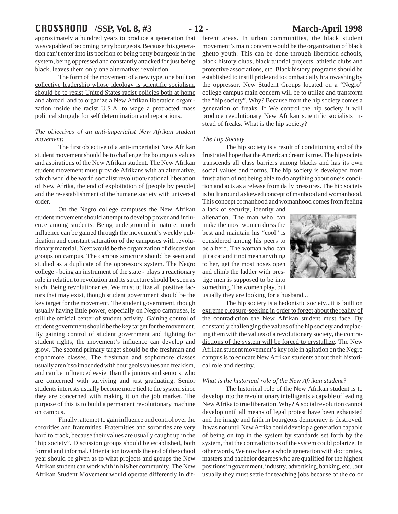# CROSSROAD **/SSP, Vol. 8, #3 - 12 - March-April 1998**

approximately a hundred years to produce a generation that was capable of becoming petty bourgeois. Because this generation can't enter into its position of being petty bourgeois in the system, being oppressed and constantly attacked for just being black, leaves them only one alternative: revolution.

The form of the movement of a new type, one built on collective leadership whose ideology is scientific socialism, should be to resist United States racist policies both at home and abroad, and to organize a New Afrikan liberation organization inside the racist U.S.A. to wage a protracted mass political struggle for self determination and reparations.

## *The objectives of an anti-imperialist New Afrikan student movement:*

The first objective of a anti-imperialist New Afrikan student movement should be to challenge the bourgeois values and aspirations of the New Afrikan student. The New Afrikan student movement must provide Afrikans with an alternative, which would be world socialist revolution/national liberation of New Afrika, the end of exploitation of [people by people] and the re-establishment of the humane society with universal order.

On the Negro college campuses the New Afrikan student movement should attempt to develop power and influence among students. Being underground in nature, much influence can be gained through the movement's weekly publication and constant saturation of the campuses with revolutionary material. Next would be the organization of discussion groups on campus. The campus structure should be seen and studied as a duplicate of the oppressors system. The Negro college - being an instrument of the state - plays a reactionary role in relation to revolution and its structure should be seen as such. Being revolutionaries, We must utilize all positive factors that may exist, though student government should be the key target for the movement. The student government, though usually having little power, especially on Negro campuses, is still the official center of student activity. Gaining control of student government should be the key target for the movement. By gaining control of student government and fighting for student rights, the movement's influence can develop and grow. The second primary target should be the freshman and sophomore classes. The freshman and sophomore classes usually aren't so imbedded with bourgeois values and freakism, and can be influenced easier than the juniors and seniors, who are concerned with surviving and just graduating. Senior students interests usually become more tied to the system since they are concerned with making it on the job market. The purpose of this is to build a permanent revolutionary machine on campus.

Finally, attempt to gain influence and control over the sororities and fraternities. Fraternities and sororities are very hard to crack, because their values are usually caught up in the "hip society". Discussion groups should be established, both formal and informal. Orientation towards the end of the school year should be given as to what projects and groups the New Afrikan student can work with in his/her community. The New Afrikan Student Movement would operate differently in dif-

ferent areas. In urban communities, the black student movement's main concern would be the organization of black ghetto youth. This can be done through liberation schools, black history clubs, black tutorial projects, athletic clubs and protective associations, etc. Black history programs should be established to instill pride and to combat daily brainwashing by the oppressor. New Student Groups located on a "Negro" college campus main concern will be to utilize and transform the "hip society". Why? Because from the hip society comes a generation of freaks. If We control the hip society it will produce revolutionary New Afrikan scientific socialists instead of freaks. What is the hip society?

### *The Hip Society*

The hip society is a result of conditioning and of the frustrated hope that the American dream is true. The hip society transcends all class barriers among blacks and has its own social values and norms. The hip society is developed from frustration of not being able to do anything about one's condition and acts as a release from daily pressures. The hip society is built around a skewed concept of manhood and womanhood. This concept of manhood and womanhood comes from feeling

a lack of security, identity and alienation. The man who can make the most women dress the best and maintain his "cool" is considered among his peers to be a hero. The woman who can jilt a cat and it not mean anything to her, get the most noses open and climb the ladder with prestige men is supposed to be into something. The women play, but



usually they are looking for a husband...

The hip society is a hedonistic society...it is built on extreme pleasure-seeking in order to forget about the reality of the contradiction the New Afrikan student must face. By constantly challenging the values of the hip society and replacing them with the values of a revolutionary society, the contradictions of the system will be forced to crystallize. The New Afrikan student movement's key role in agitation on the Negro campus is to educate New Afrikan students about their historical role and destiny.

#### *What is the historical role of the New Afrikan student?*

The historical role of the New Afrikan student is to develop into the revolutionary intelligentsia capable of leading New Afrika to true liberation. Why? A social revolution cannot develop until all means of legal protest have been exhausted and the image and faith in bourgeois democracy is destroyed. It was not until New Afrika could develop a generation capable of being on top in the system by standards set forth by the system, that the contradictions of the system could polarize. In other words, We now have a whole generation with doctorates, masters and bachelor degrees who are qualified for the highest positions in government, industry, advertising, banking, etc...but usually they must settle for teaching jobs because of the color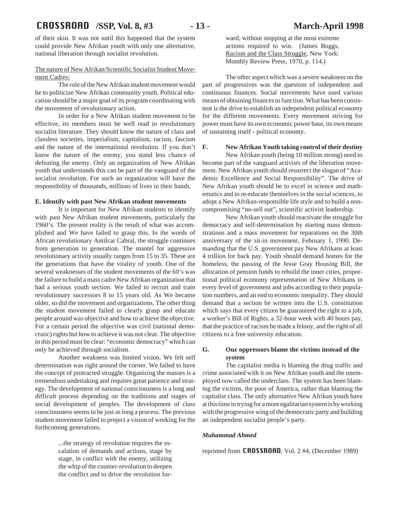of their skin. It was not until this happened that the system could provide New Afrikan youth with only one alternative, national liberation through socialist revolution.

### The nature of New Afrikan/Scientific Socialist Student Movement Cadres:

The role of the New Afrikan student movement would be to politicize New Afrikan community youth. Political education should be a major goal of its program coordinating with the movement of revolutionary action.

In order for a New Afrikan student movement to be effective, its members must be well read in revolutionary socialist literature. They should know the nature of class and classless societies, imperialism, capitalism, racism, fascism and the nature of the international revolution. If you don't know the nature of the enemy, you stand less chance of defeating the enemy. Only an organization of New Afrikan youth that understands this can be part of the vanguard of the socialist revolution. For such an organization will have the responsibility of thousands, millions of lives in their hands.

### **E. Identify with past New Afrikan student movements**

It is important for New Afrikan students to identify with past New Afrikan student movements, particularly the 1960's. The present reality is the result of what was accomplished and We have failed to grasp this. In the words of African revolutionary Amilcar Cabral, the struggle continues from generation to generation. The mantel for aggressive revolutionary activity usually ranges from 15 to 35. These are the generations that have the vitality of youth. One of the several weaknesses of the student movements of the 60's was the failure to build a mass cadre New Afrikan organization that had a serious youth section. We failed to recruit and train revolutionary successors 8 to 15 years old. As We became older, so did the movement and organizations. The other thing the student movement failed to clearly grasp and educate people around was objective and how to achieve the objective. For a certain period the objective was civil (national democratic) rights but how to achieve it was not clear. The objective in this period must be clear: "economic democracy" which can only be achieved through socialism.

Another weakness was limited vision. We felt self determination was right around the corner. We failed to have the concept of protracted struggle. Organizing the masses is a tremendous undertaking and requires great patience and strategy. The development of national consciousness is a long and difficult process depending on the traditions and stages of social development of peoples. The development of class consciousness seems to be just as long a process. The previous student movement failed to project a vision of working for the forthcoming generations.

> ...the strategy of revolution requires the escalation of demands and actions, stage by stage, in conflict with the enemy, utilizing the whip of the counter-revolution to deepen the conflict and to drive the revolution for

ward, without stopping at the most extreme actions required to win. (James Boggs, Racism and the Class Struggle, New York: Monthly Review Press, 1970, p. 114.)

The other aspect which was a severe weakness on the part of progressives was the question of independent and continuous finances. Social movements have used various means of obtaining finances to function. What has been consistent is the drive to establish an independent political economy for the different movements. Every movement striving for power must have its own economic power base, its own means of sustaining itself - political economy.

#### **F. New Afrikan Youth taking control of their destiny**

New Afrikan youth (being 10 million strong) need to become part of the vanguard activists of the liberation movement. New Afrikan youth should resurrect the slogan of "Academic Excellence and Social Responsibility". The drive of New Afrikan youth should be to excel in science and mathematics and to re-educate themselves in the social sciences, to adopt a New Afrikan-responsible life style and to build a noncompromising "no-sell out", scientific activist leadership.

New Afrikan youth should reactivate the struggle for democracy and self-determination by starting mass demonstrations and a mass movement for reparations on the 30th anniversary of the sit-in movement, February 1, 1990. Demanding that the U.S. government pay New Afrikans at least 4 trillion for back pay. Youth should demand homes for the homeless, the passing of the Jesse Gray Housing Bill, the allocation of pension funds to rebuild the inner cities, proportional political economy representation of New Afrikans in every level of government and jobs according to their population numbers, and an end to economic inequality. They should demand that a section be written into the U.S. constitution which says that every citizen be guaranteed the right to a job, a worker's Bill of Rights, a 32-hour week with 40 hours pay, that the practice of racism be made a felony, and the right of all citizens to a free university education.

### **G. Our oppressors blame the victims instead of the system**

The capitalist media is blaming the drug traffic and crime associated with it on New Afrikan youth and the unemployed now called the underclass. The system has been blaming the victims, the poor of America, rather than blaming the capitalist class. The only alternative New Afrikan youth have at this time in trying for a more egalitarian system is by working with the progressive wing of the democratic party and building an independent socialist people's party.

### *Muhammad Ahmed*

reprinted from **CROSSROAD**, Vol. 2 #4, (December 1989)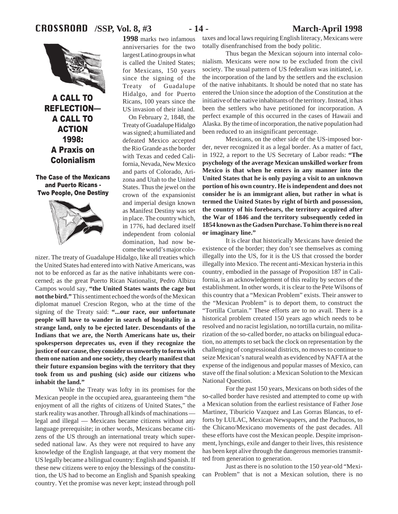# CROSSROAD **/SSP, Vol. 8, #3 - 14 - March-April 1998**



**A CALL TO REFLECTION-A CALL TO ACTION** 1998: **A Praxis on Colonialism** 

The Case of the Mexicans and Puerto Ricans -**Two People, One Destiny** 



**1998** marks two infamous anniversaries for the two largest Latino groups in what is called the United States; for Mexicans, 150 years since the signing of the Treaty of Guadalupe Hidalgo, and for Puerto Ricans, 100 years since the US invasion of their island.

On February 2, 1848, the Treaty of Guadalupe Hidalgo was signed; a humiliated and defeated Mexico accepted the Rio Grande as the border with Texas and ceded California, Nevada, New Mexico and parts of Colorado, Arizona and Utah to the United States. Thus the jewel on the crown of the expansionist and imperial design known as Manifest Destiny was set in place. The country which, in 1776, had declared itself independent from colonial domination, had now become the world's major colo-

nizer. The treaty of Guadalupe Hidalgo, like all treaties which the United States had entered into with Native Americans, was not to be enforced as far as the native inhabitants were concerned; as the great Puerto Rican Nationalist, Pedro Albizu Campos would say, **"the United States wants the cage but not the bird."** This sentiment echoed the words of the Mexican diplomat manuel Crescion Regon, who at the time of the signing of the Treaty said: **"...our race, our unfortunate people will have to wander in search of hospitality in a strange land, only to be ejected later. Descendants of the Indians that we are, the North Americans hate us, their spokesperson deprecates us, even if they recognize the justice of our cause, they consider us unworthy to form with them one nation and one society, they clearly manifest that their future expansion begins with the territory that they took from us and pushing (sic) aside our citizens who inhabit the land."**

While the Treaty was lofty in its promises for the Mexican people in the occupied area, guaranteeing them "the enjoyment of all the rights of citizens of United States," the stark reality was another. Through all kinds of machinations legal and illegal — Mexicans became citizens without any language prerequisite; in other words, Mexicans became citizens of the US through an international treaty which superseded national law. As they were not required to have any knowledge of the English language, at that very moment the US legally became a bilingual country: English and Spanish. If these new citizens were to enjoy the blessings of the constitution, the US had to become an English and Spanish speaking country. Yet the promise was never kept; instead through poll

taxes and local laws requiring English literacy, Mexicans were totally disenfranchised from the body politic.

Thus began the Mexican sojourn into internal colonialism. Mexicans were now to be excluded from the civil society. The usual pattern of US federalism was initiated, i.e. the incorporation of the land by the settlers and the exclusion of the native inhabitants. It should be noted that no state has entered the Union since the adoption of the Constitution at the initiative of the native inhabitants of the territory. Instead, it has been the settlers who have petitioned for incorporation. A perfect example of this occurred in the cases of Hawaii and Alaska. By the time of incorporation, the native population had been reduced to an insignificant percentage.

Mexicans, on the other side of the US-imposed border, never recognized it as a legal border. As a matter of fact, in 1922, a report to the US Secretary of Labor reads: **"The psychology of the average Mexican unskilled worker from Mexico is that when he enters in any manner into the United States that he is only paying a visit to an unknown portion of his own country. He is independent and does not consider he is an immigrant alien, but rather in what is termed the United States by right of birth and possession, the country of his forebears, the territory acquired after the War of 1846 and the territory subsequently ceded in 1854 known as the Gadsen Purchase. To him there is no real or imaginary line."**

It is clear that historically Mexicans have denied the existence of the border; they don't see themselves as coming illegally into the US, for it is the US that crossed the border illegally into Mexico. The recent anti-Mexican hysteria in this country, embodied in the passage of Proposition 187 in California, is an acknowledgement of this reality by sectors of the establishment. In other words, it is clear to the Pete Wilsons of this country that a "Mexican Problem" exists. Their answer to the "Mexican Problem" is to deport them, to construct the "Tortilla Curtain." These efforts are to no avail. There is a historical problem created 150 years ago which needs to be resolved and no racist legislation, no tortilla curtain, no militarization of the so-called border, no attacks on bilingual education, no attempts to set back the clock on representation by the challenging of congressional districts, no moves to continue to seize Mexican's natural wealth as evidenced by NAFTA at the expense of the indigenous and popular masses of Mexico, can stave off the final solution: a Mexican Solution to the Mexican National Question.

For the past 150 years, Mexicans on both sides of the so-called border have resisted and attempted to come up with a Mexican solution from the earliest resistance of Father Jose Martinez, Tiburicio Vazquez and Las Gorras Blancas, to efforts by LULAC, Mexican Newspapers, and the Pachucos, to the Chicano/Mexicano movements of the past decades. All these efforts have cost the Mexican people. Despite imprisonment, lynchings, exile and danger to their lives, this resistence has been kept alive through the dangerous memories transmitted from generation to generation.

Just as there is no solution to the 150 year-old "Mexican Problem" that is not a Mexican solution, there is no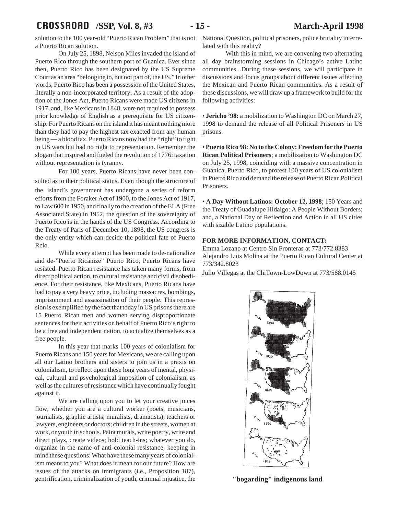# CROSSROAD **/SSP, Vol. 8, #3 - 15 - March-April 1998**

a Puerto Rican solution.

On July 25, 1898, Nelson Miles invaded the island of Puerto Rico through the southern port of Guanica. Ever since then, Puerto Rico has been designated by the US Supreme Court as an area "belonging to, but not part of, the US." In other words, Puerto Rico has been a possession of the United States, literally a non-incorporated territory. As a result of the adoption of the Jones Act, Puerto Ricans were made US citizens in 1917, and, like Mexicans in 1848, were not required to possess prior knowledge of English as a prerequisite for US citizenship. For Puerto Ricans on the island it has meant nothing more than they had to pay the highest tax exacted from any human being — a blood tax. Puerto Ricans now had the "right" to fight in US wars but had no right to representation. Remember the slogan that inspired and fueled the revolution of 1776: taxation without representation is tyranny.

For 100 years, Puerto Ricans have never been consulted as to their political status. Even though the structure of the island's government has undergone a series of reform efforts from the Foraker Act of 1900, to the Jones Act of 1917, to Law 600 in 1950, and finally to the creation of the ELA (Free Associated State) in 1952, the question of the sovereignty of Puerto Rico is in the hands of the US Congress. According to the Treaty of Paris of December 10, 1898, the US congress is the only entity which can decide the political fate of Puerto Rcio.

While every attempt has been made to de-nationalize and de-"Puerto Ricanize" Puerto Rico, Puerto Ricans have resisted. Puerto Rican resistance has taken many forms, from direct political action, to cultural resistance and civil disobedience. For their resistance, like Mexicans, Puerto Ricans have had to pay a very heavy price, including massacres, bombings, imprisonment and assassination of their people. This repression is exemplified by the fact that today in US prisons there are 15 Puerto Rican men and women serving disproportionate sentences for their activities on behalf of Puerto Rico's right to be a free and independent nation, to actualize themselves as a free people.

In this year that marks 100 years of colonialism for Puerto Ricans and 150 years for Mexicans, we are calling upon all our Latino brothers and sisters to join us in a praxis on colonialism, to reflect upon these long years of mental, physical, cultural and psychological imposition of colonialism, as well as the cultures of resistance which have continually fought against it.

We are calling upon you to let your creative juices flow, whether you are a cultural worker (poets, musicians, journalists, graphic artists, muralists, dramatists), teachers or lawyers, engineers or doctors; children in the streets, women at work, or youth in schools. Paint murals, write poetry, write and direct plays, create videos; hold teach-ins; whatever you do, organize in the name of anti-colonial resistance, keeping in mind these questions: What have these many years of colonialism meant to you? What does it mean for our future? How are issues of the attacks on immigrants (i.e., Proposition 187), gentrification, criminalization of youth, criminal injustice, the

solution to the 100 year-old "Puerto Rican Problem" that is not National Question, political prisoners, police brutality interrelated with this reality?

> With this in mind, we are convening two alternating all day brainstorming sessions in Chicago's active Latino communities...During these sessions, we will participate in discussions and focus groups about different issues affecting the Mexican and Puerto Rican communities. As a result of these discussions, we will draw up a framework to build for the following activities:

> • **Jericho '98:** a mobilization to Washington DC on March 27, 1998 to demand the release of all Political Prisoners in US prisons.

> • **Puerto Rico 98: No to the Colony: Freedom for the Puerto Rican Political Prisoners**; a mobilization to Washington DC on July 25, 1998, coinciding with a massive concentration in Guanica, Puerto Rico, to protest 100 years of US colonialism in Puerto Rico and demand the release of Puerto Rican Political Prisoners.

> • **A Day Without Latinos: October 12, 1998**; 150 Years and the Treaty of Guadalupe Hidalgo: A People Without Borders; and, a National Day of Reflection and Action in all US cities with sizable Latino populations.

### **FOR MORE INFORMATION, CONTACT:**

Emma Lozano at Centro Sin Fronteras at 773/772.8383 Alejandro Luis Molina at the Puerto Rican Cultural Center at 773/342.8023

Julio Villegas at the ChiTown-LowDown at 773/588.0145



**"bogarding" indigenous land**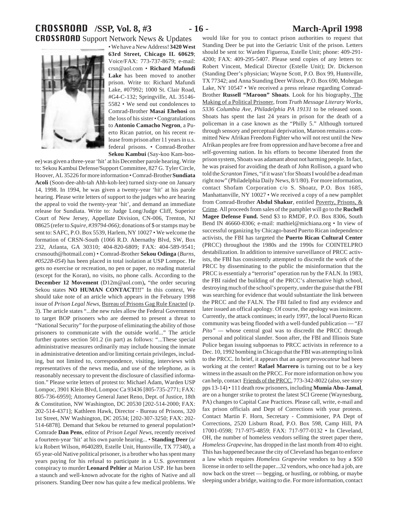# CROSSROAD **/SSP, Vol. 8, #3 - 16 - March-April 1998** CROSSROAD Support Network News & Updates

• We have a New Address! **3420 West**

**63rd Street, Chicago IL 60629**; Voice/FAX: 773-737-8679; e-mail: crsn@aol.com • **Richard Mafundi Lake** has been moved to another prison. Write to: Richard Mafundi Lake, #07992; 1000 St. Clair Road, #G4-C-132; Springville, AL 35146- 5582 • We send out condolences to Comrad-Brother **Masai Ehehosi** on the loss of his sister • Congratulations to **Antonio Camacho Negron**, a Puerto Rican patriot, on his recent release from prison after 11 years in u.s. federal prisons. • Comrad-Brother **Sekou Kambui** (Say-koo Kam-boo-

ee) was given a three-year 'hit' at his December parole hearing. Write to: Sekou Kambui Defense/Support Committee, 827 G. Tyler Circle, Hoover, AL 35226 for more information • Comrad-Brother **Sundiata Acoli** (Soon-dee-ahh-tah Ahh-koh-lee) turned sixty-one on January 14, 1998. In 1994, he was given a twenty-year 'hit' at his parole hearing. Please write letters of support to the judges who are hearing the appeal to void the twenty-year 'hit', and demand an immediate release for Sundiata. Write to: Judge Long/Judge Cliff, Superior Court of New Jersey, Appellate Division, CN-006, Trenton, NJ 08625 (refer to *Squire, #39794-066)*; donations of \$ or stamps may be sent to: SAFC, P.O. Box 5539, Harlem, NY 10027 • We welcome the formation of CRSN-South (1066 R.D. Abernathy Blvd, SW, Box 232, Atlanta, GA 30310; 404-820-6809; FAX: 404-589-9541; crsnsouth@hotmail.com) • Comrad-Brother **Sekou Odinga** (*Burns, #05228-054*) has been placed in total isolation at USP Lompoc. He gets no exercise or recreation, no pen or paper, no reading material (except for the Koran), no visits, no phone calls. According to the **December 12 Movement** (D12m@aol.com)**,** "the order securing Sekou states **NO HUMAN CONTACT!!!**" In this context, We should take note of an article which appears in the February 1998 issue of *Prison Legal News*, Bureau of Prisons Gag Rule Enacted (p. 3). The article states "...the new rules allow the Federal Government to target BOP prisoners who are deemed to present a threat to "National Security" for the purpose of eliminating the ability of those prisoners to communicate with the outside world..." The article further quotes section 501.2 (in part) as follows: "...These special administrative measures ordinarily may include housing the inmate in administrative detention and/or limiting certain privileges, including, but not limited to, correspondence, visiting, interviews with representatives of the news media, and use of the telephone, as is reasonably necessary to prevent the disclosure of classified information." Please write letters of protest to: Michael Adam, Warden USP Lompoc, 3901 Klein Blvd, Lompoc Ca 93436 [805-735-2771; FAX: 805-736-6959]; Attorney General Janet Reno, Dept. of Justice, 18th & Constitution, NW Washington, DC 20530 [202-514-2000; FAX: 202-514-4371]; Kathleen Hawk, Director - Bureau of Prisons, 320 1st Street, NW Washington, DC 20534; [202-307-3250; FAX: 202- 514-6878]. Demand that Sekou be returned to general population!• Comrade **Dan Pens**, editor of *Prison Legal News*, recently received a fourteen-year 'hit' at his own parole hearing... • **Standing Deer** (a/ k/a Robert Wilson, #640289, Estelle Unit, Huntsville, TX 77340), a 65 year-old Native political prisoner, is a brother who has spent many years paying for his refusal to participate in a U.S. government conspiracy to murder **Leonard Peltier** at Marion USP. He has been a staunch and well-known advocate for the rights of Native and all prisoners. Standing Deer now has quite a few medical problems. We

would like for you to contact prison authorities to request that

Standing Deer be put into the Geriatric Unit of the prison. Letters should be sent to: Warden Figueroa, Estelle Unit; phone: 409-291- 4200; FAX: 409-295-5407. Please send copies of any letters to: Robert Vincent, Medical Director (Estelle Unit); Dr. Dickerson (Standing Deer's physician; Wayne Scott, P.O. Box 99, Huntsville, TX 77342; and Anna Standing Deer Wilson, P.O. Box 690, Mohegan Lake, NY 10547 • We received a press release regarding Comrad-Brother **Russell "Maroon" Shoats**. Look for his biography, The Making of a Political Prisoner, from *Truth Message Literary Works, 5336 Columbia Ave, Philadelphia PA 19131* to be released soon. Shoats has spent the last 24 years in prison for the death of a policeman in a case known as the "Philly 5." Although tortured through sensory and perceptual deprivation, Maroon remains a committed New Afrikan Freedom Fighter who will not rest until the New Afrikan peoples are free from oppression and have become a free and self-governing nation. In his efforts to become liberated from the prison system, Shoats was adamant about not harming people. In fact, he was praised for avoiding the death of John Rollison, a guard who told the *Scranton Times*, "if it wasn't for Shoats I would be a dead man right now" (Philadelphia Daily News, 8/1/80). For more information, contact Shofam Corporation c/o S. Shoatz, P.O. Box 1685, Manhattanville, NY 10027 • We received a copy of a new pamphlet from Comrad-Brother **Abdul Shakur**, entitled Poverty, Prisons, & Crime. All proceeds from sales of the pamphlet will go to the **Ruchell Magee Defense Fund.** Send \$3 to RMDF, P.O. Box 8306, South Bend IN 46660-8306; e-mail: mathiel@michiana.org • In view of successful organizing by Chicago-based Puerto Rican independence activists, the FBI has targeted the **Puerto Rican Cultural Center** (PRCC) throughout the 1980s and the 1990s for COINTELPRO destabilization. In addition to intensive surveillance of PRCC activists, the FBI has consistently attempted to discredit the work of the PRCC by disseminating to the public the misinformation that the PRCC is essentialy a "terrorist" operation run by the FALN. In 1983, the FBI raided the building of the PRCC's alternative high school, destroying much of the school's property, under the guise that the FBI was searching for evidence that would substantiate the link between the PRCC and the FALN. The FBI failed to find any evidence and later issued an offical apology. Of course, the apology was insincere. Currently, the attack continues; in early 1997, the local Puerto Rican community was being flooded with a well-funded publication — "*El Pito" —* whose central goal was to discredit the PRCC through personal and political slander. Soon after, the FBI and Illinois State Police began issuing subpoenas to PRCC activists in reference to a Dec. 10, 1992 bombing in Chicago that the FBI was attempting to link to the PRCC. In brief, it appears that an *agent provocateur* had been working at the center! **Rafael Marrero** is turning out to be a key witness in the assault on the PRCC. For more information on how you can help, contact Friends of the PRCC*,* 773-342-8022 (also, see story pps 13-14) • 111 death row prisoners, including **Mumia Abu-Jamal**, are on a hunger strike to protest the latest SCI Greene (Waynesburg, PA) changes to Capital Case Practices. Please call, write, e-mail and fax prison officials and Dept of Corrections with your protests. Contact Martin F. Horn, Secretary - Commisioner, PA Dept of Corrections, 2520 Lisburn Road, P.O. Box 598, Camp Hill, PA 17001-0598; 717-975-4859; FAX: 717-977-0132 • In Cleveland, OH, the number of homeless vendors selling the street paper there, *Homeless Grapevine*, has dropped in the last month from 40 to eight. This has happened because the city of Cleveland has began to enforce a law which requires *Homeless Grapevine* vendors to buy a \$50 license in order to sell the paper...32 vendors, who once had a job, are now back on the street — begging, or hustling, or robbing, or maybe sleeping under a bridge, waiting to die. For more information, contact